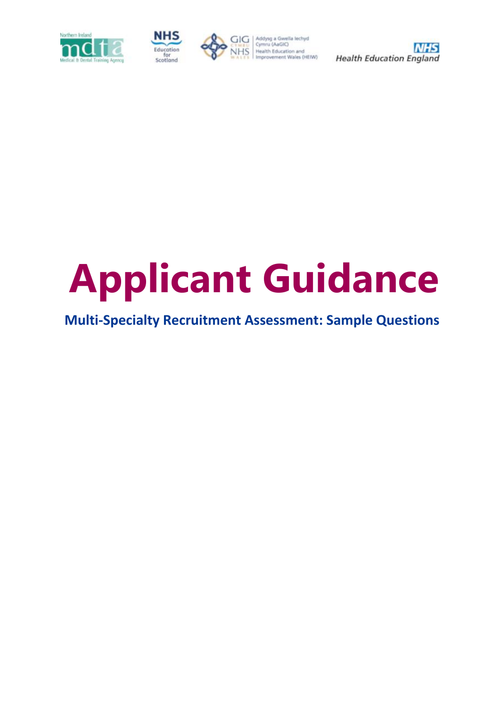



CIG Addysg a Gwella lechyd<br>CYMRU Cymru (AaGIC) Cymru (AaGIC)<br>Health Education and<br>Improvement Wales (HEIW)



# **Applicant Guidance**

# **Multi-Specialty Recruitment Assessment: Sample Questions**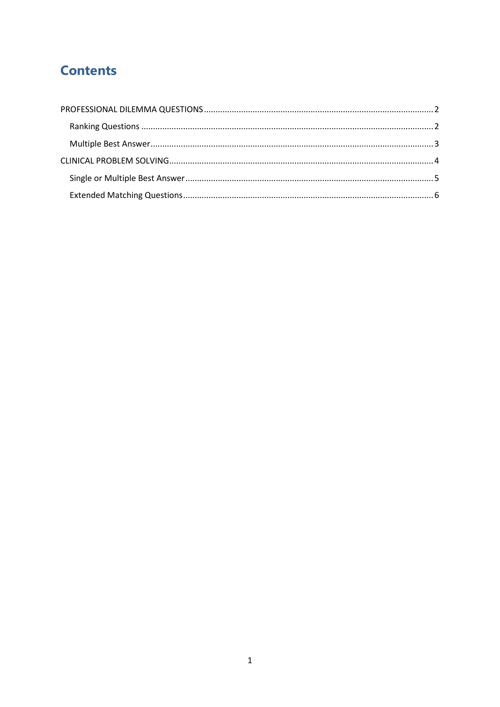## **Contents**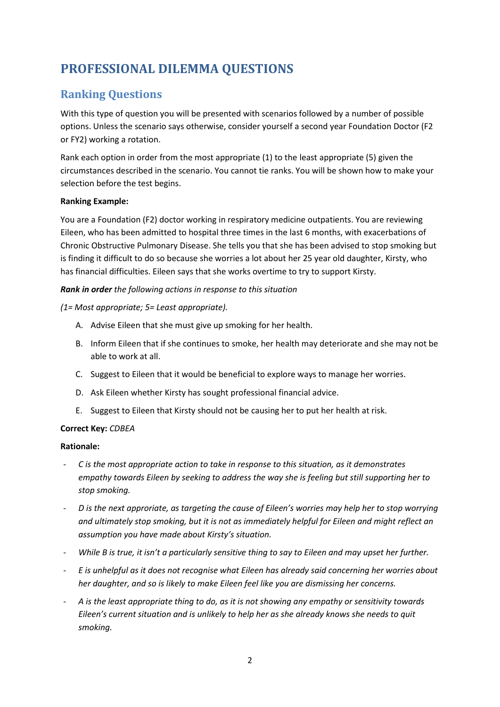## <span id="page-2-0"></span>**PROFESSIONAL DILEMMA QUESTIONS**

### <span id="page-2-1"></span>**Ranking Questions**

With this type of question you will be presented with scenarios followed by a number of possible options. Unless the scenario says otherwise, consider yourself a second year Foundation Doctor (F2 or FY2) working a rotation.

Rank each option in order from the most appropriate (1) to the least appropriate (5) given the circumstances described in the scenario. You cannot tie ranks. You will be shown how to make your selection before the test begins.

#### **Ranking Example:**

You are a Foundation (F2) doctor working in respiratory medicine outpatients. You are reviewing Eileen, who has been admitted to hospital three times in the last 6 months, with exacerbations of Chronic Obstructive Pulmonary Disease. She tells you that she has been advised to stop smoking but is finding it difficult to do so because she worries a lot about her 25 year old daughter, Kirsty, who has financial difficulties. Eileen says that she works overtime to try to support Kirsty.

#### *Rank in order the following actions in response to this situation*

#### *(1= Most appropriate; 5= Least appropriate).*

- A. Advise Eileen that she must give up smoking for her health.
- B. Inform Eileen that if she continues to smoke, her health may deteriorate and she may not be able to work at all.
- C. Suggest to Eileen that it would be beneficial to explore ways to manage her worries.
- D. Ask Eileen whether Kirsty has sought professional financial advice.
- E. Suggest to Eileen that Kirsty should not be causing her to put her health at risk.

#### **Correct Key:** *CDBEA*

#### **Rationale:**

- *C is the most appropriate action to take in response to this situation, as it demonstrates empathy towards Eileen by seeking to address the way she is feeling but still supporting her to stop smoking.*
- *D is the next approriate, as targeting the cause of Eileen's worries may help her to stop worrying and ultimately stop smoking, but it is not as immediately helpful for Eileen and might reflect an assumption you have made about Kirsty's situation.*
- *While B is true, it isn't a particularly sensitive thing to say to Eileen and may upset her further.*
- *E is unhelpful as it does not recognise what Eileen has already said concerning her worries about her daughter, and so is likely to make Eileen feel like you are dismissing her concerns.*
- *A is the least appropriate thing to do, as it is not showing any empathy or sensitivity towards Eileen's current situation and is unlikely to help her as she already knows she needs to quit smoking.*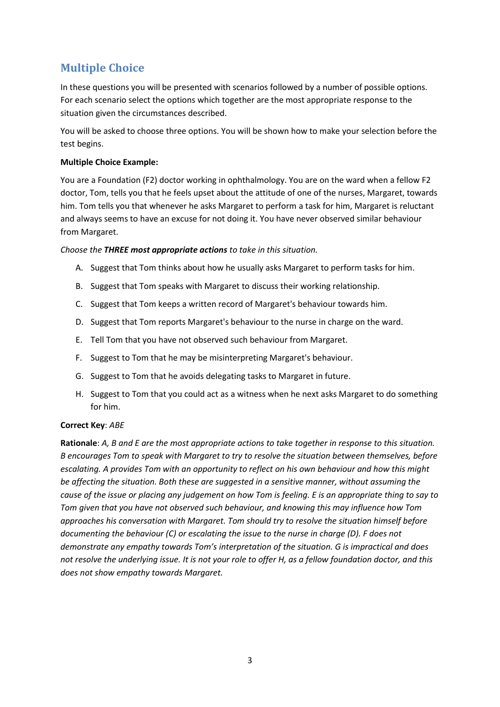## <span id="page-3-0"></span>**Multiple Choice**

In these questions you will be presented with scenarios followed by a number of possible options. For each scenario select the options which together are the most appropriate response to the situation given the circumstances described.

You will be asked to choose three options. You will be shown how to make your selection before the test begins.

#### **Multiple Choice Example:**

You are a Foundation (F2) doctor working in ophthalmology. You are on the ward when a fellow F2 doctor, Tom, tells you that he feels upset about the attitude of one of the nurses, Margaret, towards him. Tom tells you that whenever he asks Margaret to perform a task for him, Margaret is reluctant and always seems to have an excuse for not doing it. You have never observed similar behaviour from Margaret.

*Choose the THREE most appropriate actions to take in this situation.*

- A. Suggest that Tom thinks about how he usually asks Margaret to perform tasks for him.
- B. Suggest that Tom speaks with Margaret to discuss their working relationship.
- C. Suggest that Tom keeps a written record of Margaret's behaviour towards him.
- D. Suggest that Tom reports Margaret's behaviour to the nurse in charge on the ward.
- E. Tell Tom that you have not observed such behaviour from Margaret.
- F. Suggest to Tom that he may be misinterpreting Margaret's behaviour.
- G. Suggest to Tom that he avoids delegating tasks to Margaret in future.
- H. Suggest to Tom that you could act as a witness when he next asks Margaret to do something for him.

#### **Correct Key**: *ABE*

**Rationale**: *A, B and E are the most appropriate actions to take together in response to this situation. B encourages Tom to speak with Margaret to try to resolve the situation between themselves, before escalating. A provides Tom with an opportunity to reflect on his own behaviour and how this might be affecting the situation. Both these are suggested in a sensitive manner, without assuming the cause of the issue or placing any judgement on how Tom is feeling. E is an appropriate thing to say to Tom given that you have not observed such behaviour, and knowing this may influence how Tom approaches his conversation with Margaret. Tom should try to resolve the situation himself before documenting the behaviour (C) or escalating the issue to the nurse in charge (D). F does not demonstrate any empathy towards Tom's interpretation of the situation. G is impractical and does not resolve the underlying issue. It is not your role to offer H, as a fellow foundation doctor, and this does not show empathy towards Margaret.*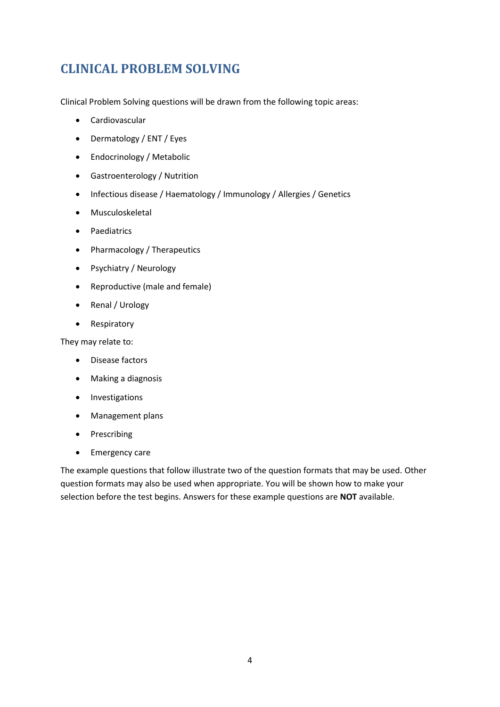## <span id="page-4-0"></span>**CLINICAL PROBLEM SOLVING**

Clinical Problem Solving questions will be drawn from the following topic areas:

- Cardiovascular
- Dermatology / ENT / Eyes
- Endocrinology / Metabolic
- Gastroenterology / Nutrition
- Infectious disease / Haematology / Immunology / Allergies / Genetics
- Musculoskeletal
- Paediatrics
- Pharmacology / Therapeutics
- Psychiatry / Neurology
- Reproductive (male and female)
- Renal / Urology
- Respiratory

They may relate to:

- Disease factors
- Making a diagnosis
- Investigations
- Management plans
- Prescribing
- Emergency care

The example questions that follow illustrate two of the question formats that may be used. Other question formats may also be used when appropriate. You will be shown how to make your selection before the test begins. Answers for these example questions are **NOT** available.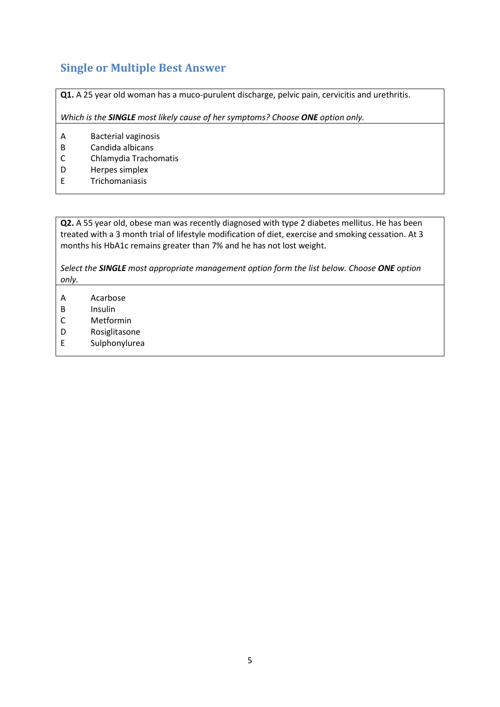## <span id="page-5-0"></span>**Single or Multiple Best Answer**

**Q1.** A 25 year old woman has a muco-purulent discharge, pelvic pain, cervicitis and urethritis.

*Which is the SINGLE most likely cause of her symptoms? Choose ONE option only.*

- A Bacterial vaginosis
- B Candida albicans
- C Chlamydia Trachomatis
- D Herpes simplex
- E Trichomaniasis

**Q2.** A 55 year old, obese man was recently diagnosed with type 2 diabetes mellitus. He has been treated with a 3 month trial of lifestyle modification of diet, exercise and smoking cessation. At 3 months his HbA1c remains greater than 7% and he has not lost weight.

*Select the SINGLE most appropriate management option form the list below. Choose ONE option only.*

- A Acarbose
- B Insulin
- C Metformin
- D Rosiglitasone
- E Sulphonylurea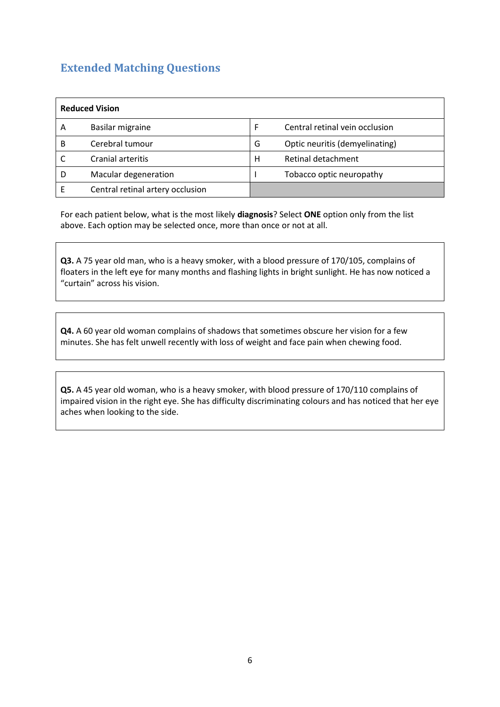## <span id="page-6-0"></span>**Extended Matching Questions**

| <b>Reduced Vision</b> |                                  |   |                                |  |  |
|-----------------------|----------------------------------|---|--------------------------------|--|--|
| А                     | Basilar migraine                 | F | Central retinal vein occlusion |  |  |
| в                     | Cerebral tumour                  | G | Optic neuritis (demyelinating) |  |  |
|                       | Cranial arteritis                | н | Retinal detachment             |  |  |
|                       | Macular degeneration             |   | Tobacco optic neuropathy       |  |  |
|                       | Central retinal artery occlusion |   |                                |  |  |

For each patient below, what is the most likely **diagnosis**? Select **ONE** option only from the list above. Each option may be selected once, more than once or not at all.

**Q3.** A 75 year old man, who is a heavy smoker, with a blood pressure of 170/105, complains of floaters in the left eye for many months and flashing lights in bright sunlight. He has now noticed a "curtain" across his vision.

**Q4.** A 60 year old woman complains of shadows that sometimes obscure her vision for a few minutes. She has felt unwell recently with loss of weight and face pain when chewing food.

**Q5.** A 45 year old woman, who is a heavy smoker, with blood pressure of 170/110 complains of impaired vision in the right eye. She has difficulty discriminating colours and has noticed that her eye aches when looking to the side.